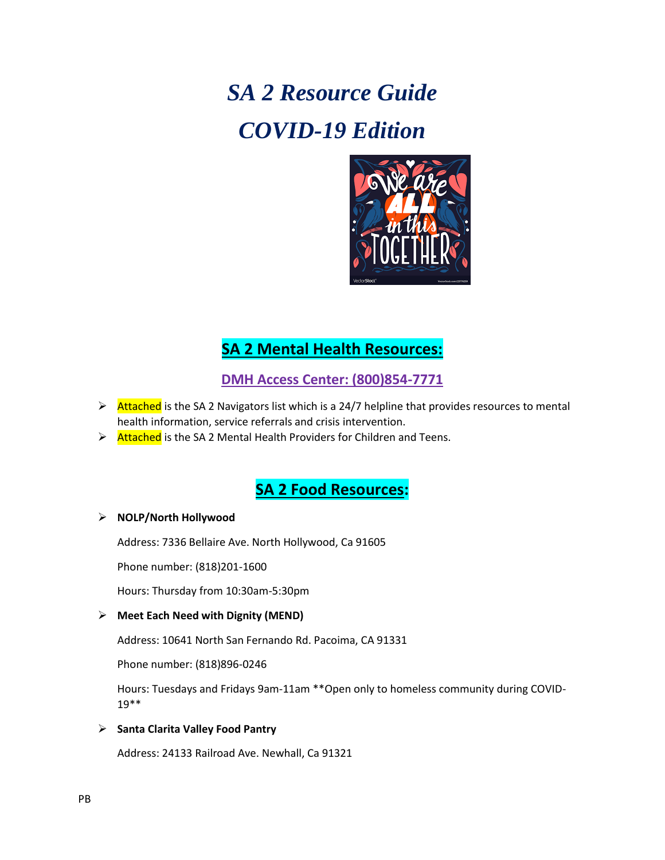# *SA 2 Resource Guide COVID-19 Edition*



## **SA 2 Mental Health Resources:**

**DMH Access Center: (800)854-7771**

- Attached is the SA 2 Navigators list which is a 24/7 helpline that provides resources to mental health information, service referrals and crisis intervention.
- $\triangleright$  Attached is the SA 2 Mental Health Providers for Children and Teens.

### **SA 2 Food Resources:**

#### **NOLP/North Hollywood**

Address: 7336 Bellaire Ave. North Hollywood, Ca 91605

Phone number: (818)201-1600

Hours: Thursday from 10:30am-5:30pm

#### **Meet Each Need with Dignity (MEND)**

Address: 10641 North San Fernando Rd. Pacoima, CA 91331

Phone number: (818)896-0246

Hours: Tuesdays and Fridays 9am-11am \*\*Open only to homeless community during COVID-19\*\*

#### **Santa Clarita Valley Food Pantry**

Address: 24133 Railroad Ave. Newhall, Ca 91321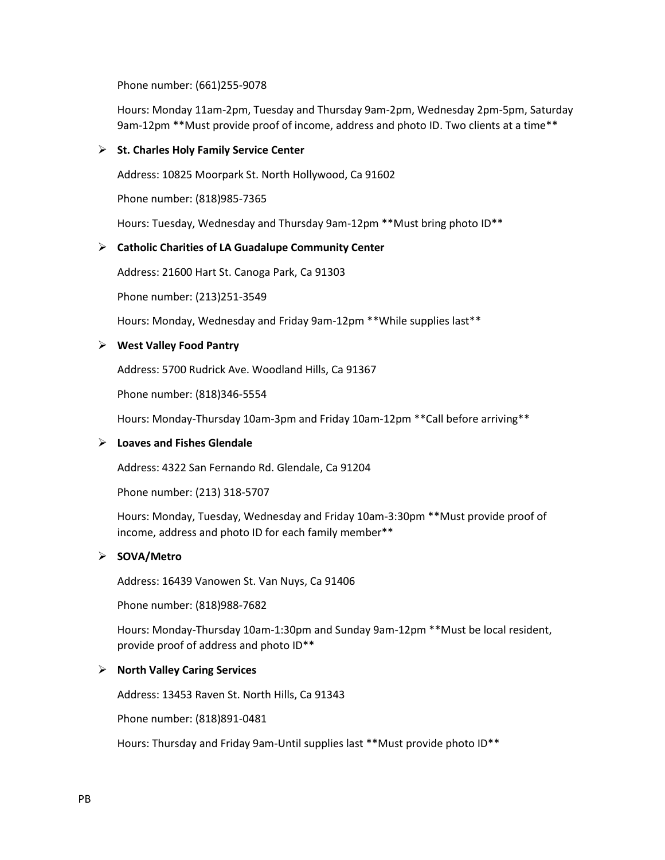Phone number: (661)255-9078

Hours: Monday 11am-2pm, Tuesday and Thursday 9am-2pm, Wednesday 2pm-5pm, Saturday 9am-12pm \*\*Must provide proof of income, address and photo ID. Two clients at a time\*\*

#### **St. Charles Holy Family Service Center**

Address: 10825 Moorpark St. North Hollywood, Ca 91602

Phone number: (818)985-7365

Hours: Tuesday, Wednesday and Thursday 9am-12pm \*\*Must bring photo ID\*\*

#### **Catholic Charities of LA Guadalupe Community Center**

Address: 21600 Hart St. Canoga Park, Ca 91303

Phone number: (213)251-3549

Hours: Monday, Wednesday and Friday 9am-12pm \*\*While supplies last\*\*

#### **West Valley Food Pantry**

Address: 5700 Rudrick Ave. Woodland Hills, Ca 91367

Phone number: (818)346-5554

Hours: Monday-Thursday 10am-3pm and Friday 10am-12pm \*\*Call before arriving\*\*

#### **Loaves and Fishes Glendale**

Address: 4322 San Fernando Rd. Glendale, Ca 91204

Phone number: (213) 318-5707

Hours: Monday, Tuesday, Wednesday and Friday 10am-3:30pm \*\*Must provide proof of income, address and photo ID for each family member\*\*

#### **SOVA/Metro**

Address: 16439 Vanowen St. Van Nuys, Ca 91406

Phone number: (818)988-7682

Hours: Monday-Thursday 10am-1:30pm and Sunday 9am-12pm \*\*Must be local resident, provide proof of address and photo ID\*\*

#### **North Valley Caring Services**

Address: 13453 Raven St. North Hills, Ca 91343

Phone number: (818)891-0481

Hours: Thursday and Friday 9am-Until supplies last \*\*Must provide photo ID\*\*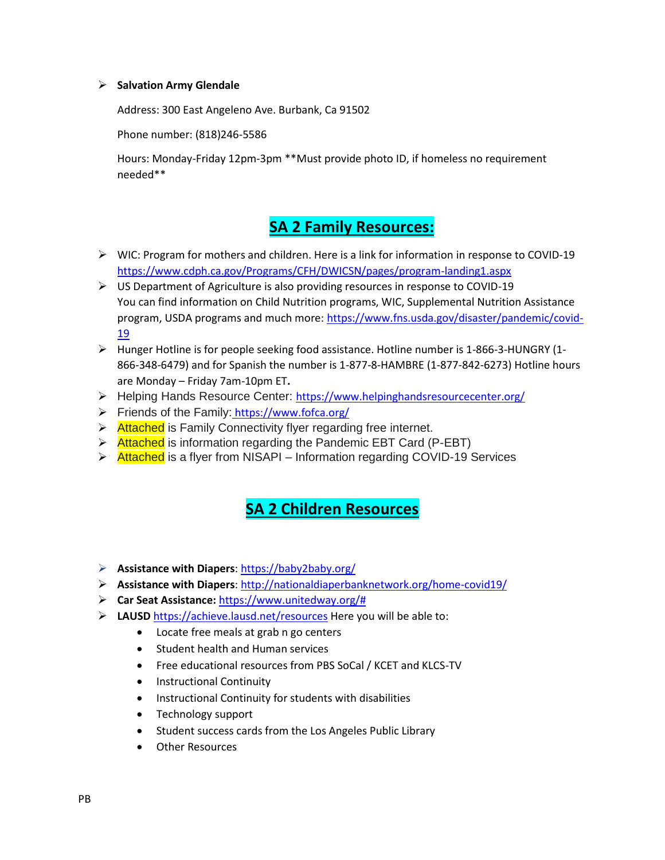#### **Salvation Army Glendale**

Address: 300 East Angeleno Ave. Burbank, Ca 91502

Phone number: (818)246-5586

Hours: Monday-Friday 12pm-3pm \*\*Must provide photo ID, if homeless no requirement needed\*\*

# **SA 2 Family Resources:**

- WIC: Program for mothers and children. Here is a link for information in response to COVID-19 <https://www.cdph.ca.gov/Programs/CFH/DWICSN/pages/program-landing1.aspx>
- US Department of Agriculture is also providing resources in response to COVID-19 You can find information on Child Nutrition programs, WIC, Supplemental Nutrition Assistance program, USDA programs and much more: [https://www.fns.usda.gov/disaster/pandemic/covid-](https://www.fns.usda.gov/disaster/pandemic/covid-19)[19](https://www.fns.usda.gov/disaster/pandemic/covid-19)
- $\triangleright$  Hunger Hotline is for people seeking food assistance. Hotline number is 1-866-3-HUNGRY (1-866-348-6479) and for Spanish the number is 1-877-8-HAMBRE (1-877-842-6273) Hotline hours are Monday – Friday 7am-10pm ET**.**
- Helping Hands Resource Center: <https://www.helpinghandsresourcecenter.org/>
- Friends of the Family: <https://www.fofca.org/>
- $\triangleright$  Attached is Family Connectivity flyer regarding free internet.
- $\triangleright$  Attached is information regarding the Pandemic EBT Card (P-EBT)
- > Attached is a flyer from NISAPI Information regarding COVID-19 Services

## **SA 2 Children Resources**

- **Assistance with Diapers**[: https://baby2baby.org/](https://secure-web.cisco.com/12bajv01LGJB82KgPphVyv-LSBRC6uM2l3Wzmss_ZsUY2HF6FNtbFOKmYs9uY2wBHeCjx-1BZwjyWRReTQdziWsEkUxVi1b_a2xztCj7VdSaHK8GuY_sFfrqeZSWkChH-2bOQij7I408g2g-Dec5F5hJJ2owaoOuHYPJb-0vzeeIKy_0Td3gl1OqxmRMosNTo9flqnSSiCpuRoQPTUEii_YlnbIMuswy3gJ_u5-aq_8eod2nAKc1y3ViN05SDg_WOGPfdZZlawcl-GXkt-tlJxXAFMBOQSw3dD6Zx0CINSzP7vlUfgWTWlEGtIORk0siCc4JjFjAg-M1DrOUQVs1JscPyYoUdnIJiDpBarUhRgDNbrEmNP1CEiBQ6Piy8CI-2UCn9JORLjphYRC9N55wNlyJfFGwstyrCp_esiNE2-4k/https%3A%2F%2Fbaby2baby.org%2F)
- **Assistance with Diapers**[: http://nationaldiaperbanknetwork.org/home-covid19/](http://secure-web.cisco.com/1YrF1qJ1gYt_C2mwkTgSfqJBfw2G1yPy8m_rBC-MdPk6ZrmozlW9JT8KtSNZiZybj3qD4t1Il31aS4TbTl4U8_vKOBpBupqv1RAp2K7kitIezXKcqpznD5k3hnGI0fJCZLLuo8Xvgj3HR1XiVEfdoUj0tf3KX7fujcT4zcGQBfC367Lpi-cBWEd5mwGILlSMY6Y0LH4axhdanLL_pgQDBOFBisACkcV9yoWR2M715mbXHpayGKf94_PZJ1mCOGMz95-U448vPC-IFMUgdCyaapZhNjmx1fs7E8nssodXveDVD-4ilQ_hNN2_0eGyvhULSDQ0F_AC0OWWo4ypiMUTmQ_qjA5scpAmDOaUGiSbWVI6hby-gm6RuAF2aU5JkR-s86m0g76I1sEK561d_vnW-Rwb_1iyW51KnQIzcOIFXnUg/http%3A%2F%2Fnationaldiaperbanknetwork.org%2Fhome-covid19%2F)
- **Car Seat Assistance:** [https://www.unitedway.org/#](https://www.unitedway.org/)
- **LAUSD** <https://achieve.lausd.net/resources> Here you will be able to:
	- Locate free meals at grab n go centers
	- Student health and Human services
	- Free educational resources from PBS SoCal / KCET and KLCS-TV
	- **•** Instructional Continuity
	- **•** Instructional Continuity for students with disabilities
	- Technology support
	- Student success cards from the Los Angeles Public Library
	- Other Resources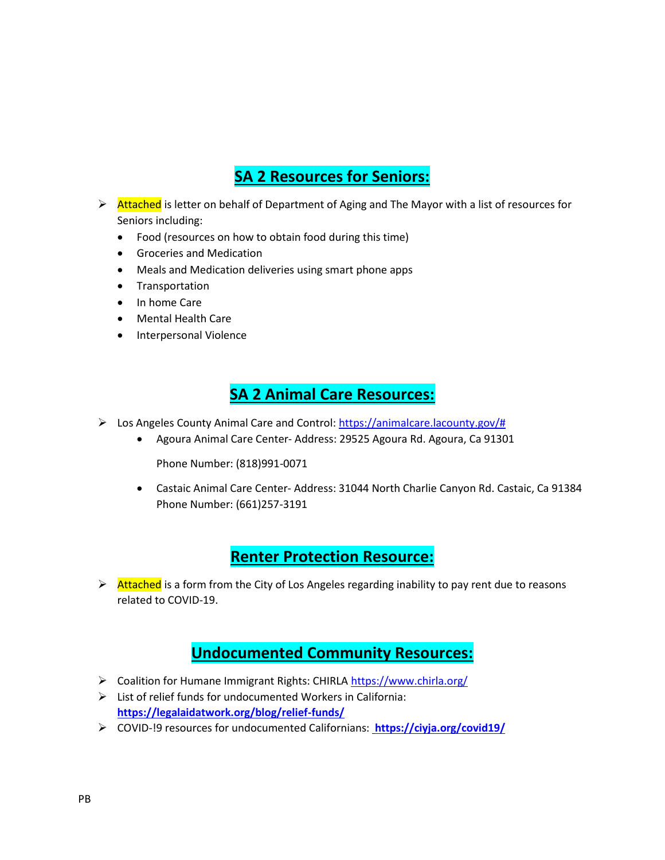# **SA 2 Resources for Seniors:**

- Attached is letter on behalf of Department of Aging and The Mayor with a list of resources for Seniors including:
	- Food (resources on how to obtain food during this time)
	- Groceries and Medication
	- Meals and Medication deliveries using smart phone apps
	- **•** Transportation
	- In home Care
	- Mental Health Care
	- Interpersonal Violence

### **SA 2 Animal Care Resources:**

- $\triangleright$  Los Angeles County Animal Care and Control: [https://animalcare.lacounty.gov/#](https://animalcare.lacounty.gov/)
	- Agoura Animal Care Center- Address: 29525 Agoura Rd. Agoura, Ca 91301

Phone Number: (818)991-0071

 Castaic Animal Care Center- Address: 31044 North Charlie Canyon Rd. Castaic, Ca 91384 Phone Number: (661)257-3191

### **Renter Protection Resource:**

Attached is a form from the City of Los Angeles regarding inability to pay rent due to reasons related to COVID-19.

### **Undocumented Community Resources:**

- > Coalition for Humane Immigrant Rights: CHIRLA<https://www.chirla.org/>
- $\triangleright$  List of relief funds for undocumented Workers in California: **<https://legalaidatwork.org/blog/relief-funds/>**
- COVID-!9 resources for undocumented Californians: **<https://ciyja.org/covid19/>**